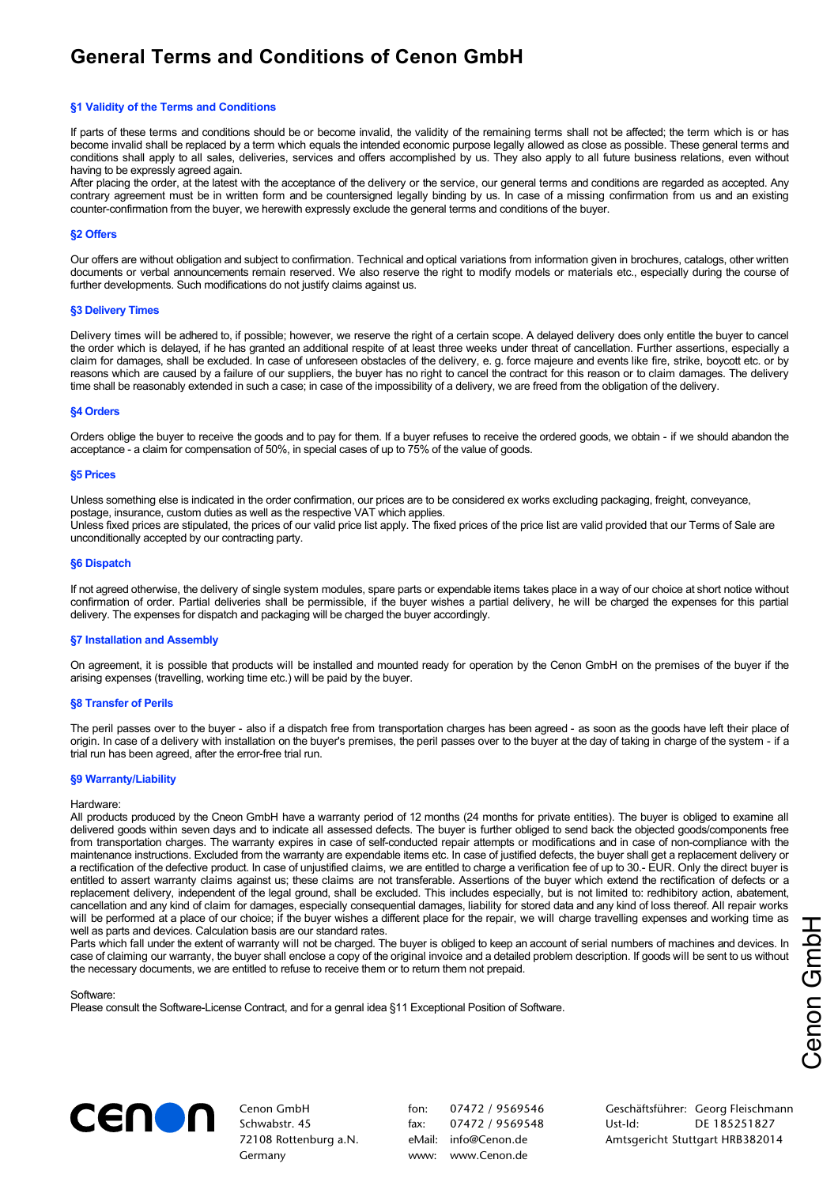# **General Terms and Conditions of Cenon GmbH**

## **§1 Validity of the Terms and Conditions**

If parts of these terms and conditions should be or become invalid, the validity of the remaining terms shall not be affected; the term which is or has become invalid shall be replaced by a term which equals the intended economic purpose legally allowed as close as possible. These general terms and conditions shall apply to all sales, deliveries, services and offers accomplished by us. They also apply to all future business relations, even without having to be expressly agreed again.

After placing the order, at the latest with the acceptance of the delivery or the service, our general terms and conditions are regarded as accepted. Any contrary agreement must be in written form and be countersigned legally binding by us. In case of a missing confirmation from us and an existing counter-confirmation from the buyer, we herewith expressly exclude the general terms and conditions of the buyer.

## **§2 Offers**

Our offers are without obligation and subject to confirmation. Technical and optical variations from information given in brochures, catalogs, other written documents or verbal announcements remain reserved. We also reserve the right to modify models or materials etc., especially during the course of further developments. Such modifications do not justify claims against us.

### **§3 Delivery Times**

Delivery times will be adhered to, if possible; however, we reserve the right of a certain scope. A delayed delivery does only entitle the buyer to cancel the order which is delayed, if he has granted an additional respite of at least three weeks under threat of cancellation. Further assertions, especially a claim for damages, shall be excluded. In case of unforeseen obstacles of the delivery, e. g. force majeure and events like fire, strike, boycott etc. or by reasons which are caused by a failure of our suppliers, the buyer has no right to cancel the contract for this reason or to claim damages. The delivery time shall be reasonably extended in such a case; in case of the impossibility of a delivery, we are freed from the obligation of the delivery.

### **§4 Orders**

Orders oblige the buyer to receive the goods and to pay for them. If a buyer refuses to receive the ordered goods, we obtain - if we should abandon the acceptance - a claim for compensation of 50%, in special cases of up to 75% of the value of goods.

#### **§5 Prices**

Unless something else is indicated in the order confirmation, our prices are to be considered ex works excluding packaging, freight, conveyance, postage, insurance, custom duties as well as the respective VAT which applies. Unless fixed prices are stipulated, the prices of our valid price list apply. The fixed prices of the price list are valid provided that our Terms of Sale are unconditionally accepted by our contracting party.

### **§6 Dispatch**

If not agreed otherwise, the delivery of single system modules, spare parts or expendable items takes place in a way of our choice at short notice without confirmation of order. Partial deliveries shall be permissible, if the buyer wishes a partial delivery, he will be charged the expenses for this partial delivery. The expenses for dispatch and packaging will be charged the buyer accordingly.

## **§7 Installation and Assembly**

On agreement, it is possible that products will be installed and mounted ready for operation by the Cenon GmbH on the premises of the buyer if the arising expenses (travelling, working time etc.) will be paid by the buyer.

## **§8 Transfer of Perils**

The peril passes over to the buyer - also if a dispatch free from transportation charges has been agreed - as soon as the goods have left their place of origin. In case of a delivery with installation on the buyer's premises, the peril passes over to the buyer at the day of taking in charge of the system - if a trial run has been agreed, after the error-free trial run.

## **§9 Warranty/Liability**

#### Hardware:

All products produced by the Cneon GmbH have a warranty period of 12 months (24 months for private entities). The buyer is obliged to examine all delivered goods within seven days and to indicate all assessed defects. The buyer is further obliged to send back the objected goods/components free from transportation charges. The warranty expires in case of self-conducted repair attempts or modifications and in case of non-compliance with the maintenance instructions. Excluded from the warranty are expendable items etc. In case of justified defects, the buyer shall get a replacement delivery or a rectification of the defective product. In case of unjustified claims, we are entitled to charge a verification fee of up to 30.- EUR. Only the direct buyer is entitled to assert warranty claims against us; these claims are not transferable. Assertions of the buyer which extend the rectification of defects or a replacement delivery, independent of the legal ground, shall be excluded. This includes especially, but is not limited to: redhibitory action, abatement, cancellation and any kind of claim for damages, especially consequential damages, liability for stored data and any kind of loss thereof. All repair works will be performed at a place of our choice; if the buyer wishes a different place for the repair, we will charge travelling expenses and working time as well as parts and devices. Calculation basis are our standard rates.

Parts which fall under the extent of warranty will not be charged. The buyer is obliged to keep an account of serial numbers of machines and devices. In case of claiming our warranty, the buyer shall enclose a copy of the original invoice and a detailed problem description. If goods will be sent to us without the necessary documents, we are entitled to refuse to receive them or to return them not prepaid.

Software:

Please consult the Software-License Contract, and for a genral idea §11 Exceptional Position of Software.



Cenon GmbH Schwabstr. 45 72108 Rottenburg a.N. Germany

fon: 07472 / 9569546 fax: 07472 / 9569548 eMail: [info@Cenon.de](mailto:info@Cenon.de) www: [www.Cenon.de](http://www.Cenon.de)

Geschäftsführer: Georg Fleischmann Ust-Id: DE 185251827 Amtsgericht Stuttgart HRB382014